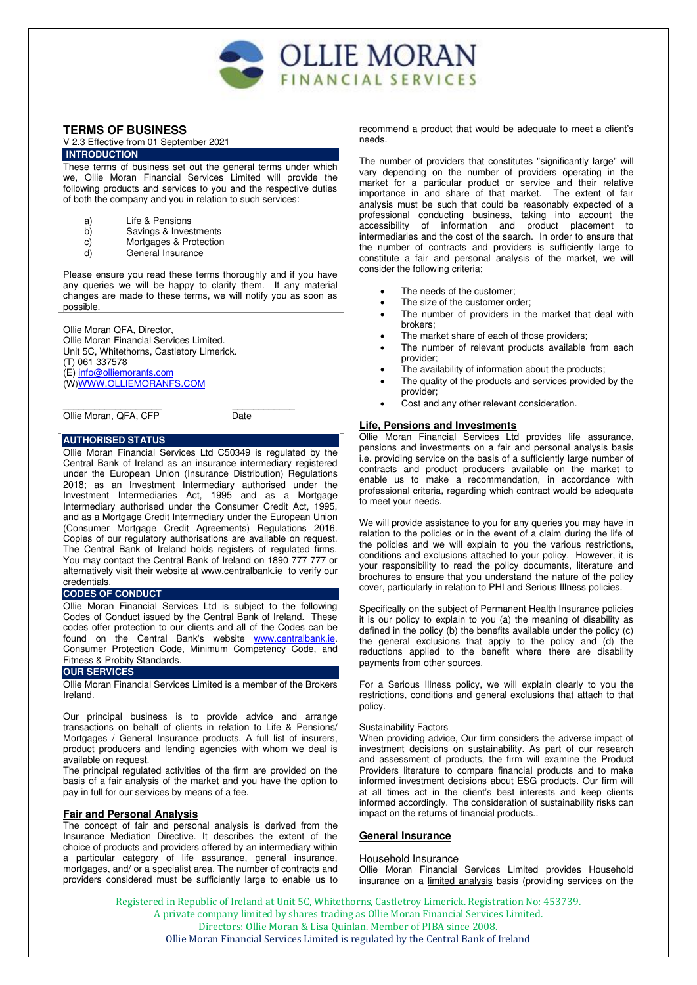

# **TERMS OF BUSINESS**

## V 2.3 Effective from 01 September 2021 **INTRODUCTION**

These terms of business set out the general terms under which we, Ollie Moran Financial Services Limited will provide the following products and services to you and the respective duties of both the company and you in relation to such services:

- a) Life & Pensions
- b) Savings & Investments
- c) Mortgages & Protection<br>d) General Insurance
- General Insurance

Please ensure you read these terms thoroughly and if you have any queries we will be happy to clarify them. If any material changes are made to these terms, we will notify you as soon as possible.

Ollie Moran QFA, Director, Ollie Moran Financial Services Limited. Unit 5C, Whitethorns, Castletory Limerick. (T) 061 337578 (E) [info@olliemoranfs.com](mailto:info@olliemoranfs.com) (W[\)WWW.OLLIEMORANFS.COM](http://www.olliemoranfs.com/)

\_\_\_\_\_\_\_\_\_\_\_\_\_\_\_\_\_\_\_ \_\_\_\_\_\_\_\_\_\_\_\_ Ollie Moran, QFA, CFP Date

# **AUTHORISED STATUS**

Ollie Moran Financial Services Ltd C50349 is regulated by the Central Bank of Ireland as an insurance intermediary registered under the European Union (Insurance Distribution) Regulations 2018; as an Investment Intermediary authorised under the Investment Intermediaries Act, 1995 and as a Mortgage Intermediary authorised under the Consumer Credit Act, 1995, and as a Mortgage Credit Intermediary under the European Union (Consumer Mortgage Credit Agreements) Regulations 2016. Copies of our regulatory authorisations are available on request. The Central Bank of Ireland holds registers of regulated firms. You may contact the Central Bank of Ireland on 1890 777 777 or alternatively visit their website at [www.centralbank.ie](http://www.centralbank.ie/) to verify our credentials.

## **CODES OF CONDUCT**

Ollie Moran Financial Services Ltd is subject to the following Codes of Conduct issued by the Central Bank of Ireland. These codes offer protection to our clients and all of the Codes can be found on the Central Bank's website [www.centralbank.ie.](http://www.centralbank.ie/) Consumer Protection Code, Minimum Competency Code, and Fitness & Probity Standards.

# **OUR SERVICES**

Ollie Moran Financial Services Limited is a member of the Brokers Ireland.

Our principal business is to provide advice and arrange transactions on behalf of clients in relation to Life & Pensions/ Mortgages / General Insurance products. A full list of insurers, product producers and lending agencies with whom we deal is available on request.

The principal regulated activities of the firm are provided on the basis of a fair analysis of the market and you have the option to pay in full for our services by means of a fee.

# **Fair and Personal Analysis**

The concept of fair and personal analysis is derived from the Insurance Mediation Directive. It describes the extent of the choice of products and providers offered by an intermediary within a particular category of life assurance, general insurance, mortgages, and/ or a specialist area. The number of contracts and providers considered must be sufficiently large to enable us to

recommend a product that would be adequate to meet a client's needs.

The number of providers that constitutes "significantly large" will vary depending on the number of providers operating in the market for a particular product or service and their relative importance in and share of that market. The extent of fair analysis must be such that could be reasonably expected of a professional conducting business, taking into account the accessibility of information and product placement to intermediaries and the cost of the search. In order to ensure that the number of contracts and providers is sufficiently large to constitute a fair and personal analysis of the market, we will consider the following criteria;

- The needs of the customer;
- The size of the customer order;
- The number of providers in the market that deal with brokers;
- The market share of each of those providers;
- The number of relevant products available from each provider;
- The availability of information about the products;
- The quality of the products and services provided by the provider;
- Cost and any other relevant consideration.

# **Life, Pensions and Investments**

Ollie Moran Financial Services Ltd provides life assurance, pensions and investments on a fair and personal analysis basis i.e. providing service on the basis of a sufficiently large number of contracts and product producers available on the market to enable us to make a recommendation, in accordance with professional criteria, regarding which contract would be adequate to meet your needs.

We will provide assistance to you for any queries you may have in relation to the policies or in the event of a claim during the life of the policies and we will explain to you the various restrictions, conditions and exclusions attached to your policy. However, it is your responsibility to read the policy documents, literature and brochures to ensure that you understand the nature of the policy cover, particularly in relation to PHI and Serious Illness policies.

Specifically on the subject of Permanent Health Insurance policies it is our policy to explain to you (a) the meaning of disability as defined in the policy (b) the benefits available under the policy (c) the general exclusions that apply to the policy and (d) the reductions applied to the benefit where there are disability payments from other sources.

For a Serious Illness policy, we will explain clearly to you the restrictions, conditions and general exclusions that attach to that policy.

#### **Sustainability Factors**

When providing advice, Our firm considers the adverse impact of investment decisions on sustainability. As part of our research and assessment of products, the firm will examine the Product Providers literature to compare financial products and to make informed investment decisions about ESG products. Our firm will at all times act in the client's best interests and keep clients informed accordingly. The consideration of sustainability risks can impact on the returns of financial products..

## **General Insurance**

## Household Insurance

Ollie Moran Financial Services Limited provides Household insurance on a limited analysis basis (providing services on the

Registered in Republic of Ireland at Unit 5C, Whitethorns, Castletroy Limerick. Registration No: 453739. A private company limited by shares trading as Ollie Moran Financial Services Limited. Directors: Ollie Moran & Lisa Quinlan. Member of PIBA since 2008. Ollie Moran Financial Services Limited is regulated by the Central Bank of Ireland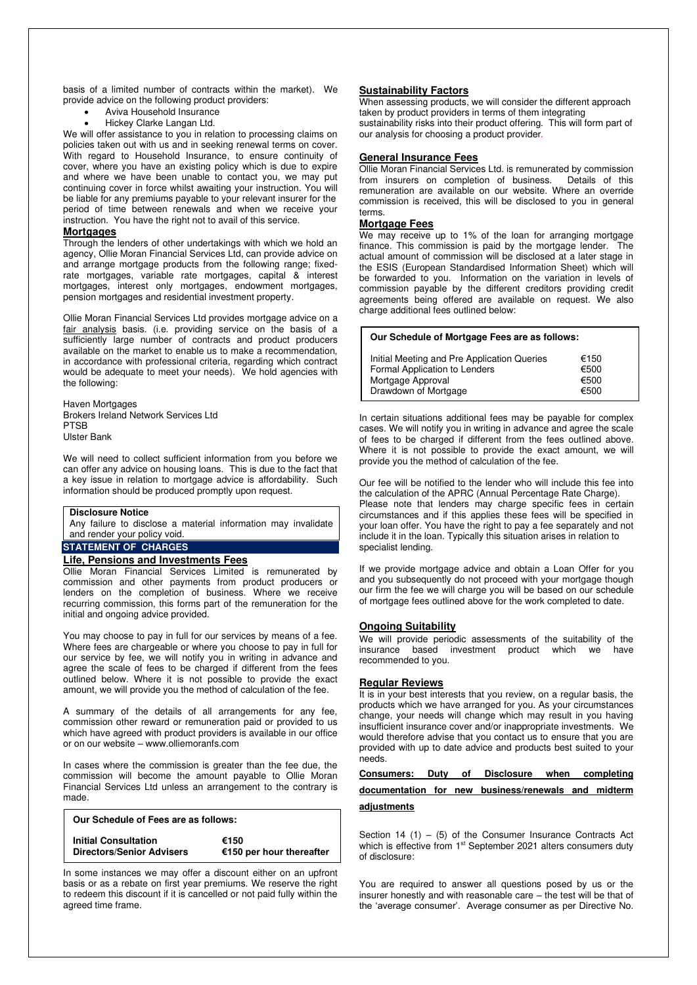basis of a limited number of contracts within the market). We provide advice on the following product providers:

- Aviva Household Insurance
	- Hickey Clarke Langan Ltd.

We will offer assistance to you in relation to processing claims on policies taken out with us and in seeking renewal terms on cover. With regard to Household Insurance, to ensure continuity of cover, where you have an existing policy which is due to expire and where we have been unable to contact you, we may put continuing cover in force whilst awaiting your instruction. You will be liable for any premiums payable to your relevant insurer for the period of time between renewals and when we receive your instruction. You have the right not to avail of this service.

#### **Mortgages**

Through the lenders of other undertakings with which we hold an agency, Ollie Moran Financial Services Ltd, can provide advice on and arrange mortgage products from the following range; fixedrate mortgages, variable rate mortgages, capital & interest mortgages, interest only mortgages, endowment mortgages, pension mortgages and residential investment property.

Ollie Moran Financial Services Ltd provides mortgage advice on a fair analysis basis. (i.e. providing service on the basis of a sufficiently large number of contracts and product producers available on the market to enable us to make a recommendation, in accordance with professional criteria, regarding which contract would be adequate to meet your needs). We hold agencies with the following:

Haven Mortgages Brokers Ireland Network Services Ltd PTSB Ulster Bank

We will need to collect sufficient information from you before we can offer any advice on housing loans. This is due to the fact that a key issue in relation to mortgage advice is affordability. Such information should be produced promptly upon request.

# **Disclosure Notice**

Any failure to disclose a material information may invalidate and render your policy void.

# **STATEMENT OF CHARGES**

#### **Life, Pensions and Investments Fees**

Ollie Moran Financial Services Limited is remunerated by commission and other payments from product producers or lenders on the completion of business. Where we receive recurring commission, this forms part of the remuneration for the initial and ongoing advice provided.

You may choose to pay in full for our services by means of a fee. Where fees are chargeable or where you choose to pay in full for our service by fee, we will notify you in writing in advance and agree the scale of fees to be charged if different from the fees outlined below. Where it is not possible to provide the exact amount, we will provide you the method of calculation of the fee.

A summary of the details of all arrangements for any fee, commission other reward or remuneration paid or provided to us which have agreed with product providers is available in our office or on our website – www.olliemoranfs.com

In cases where the commission is greater than the fee due, the commission will become the amount payable to Ollie Moran Financial Services Ltd unless an arrangement to the contrary is made.

| Our Schedule of Fees are as follows: |                          |
|--------------------------------------|--------------------------|
| <b>Initial Consultation</b>          | €150                     |
| <b>Directors/Senior Advisers</b>     | €150 per hour thereafter |

In some instances we may offer a discount either on an upfront basis or as a rebate on first year premiums. We reserve the right to redeem this discount if it is cancelled or not paid fully within the agreed time frame.

## **Sustainability Factors**

When assessing products, we will consider the different approach taken by product providers in terms of them integrating sustainability risks into their product offering. This will form part of our analysis for choosing a product provider.

#### **General Insurance Fees**

Ollie Moran Financial Services Ltd. is remunerated by commission from insurers on completion of business. Details of this from insurers on completion of business. remuneration are available on our website. Where an override commission is received, this will be disclosed to you in general terms.

## **Mortgage Fees**

We may receive up to 1% of the loan for arranging mortgage finance. This commission is paid by the mortgage lender. The actual amount of commission will be disclosed at a later stage in the ESIS (European Standardised Information Sheet) which will be forwarded to you. Information on the variation in levels of commission payable by the different creditors providing credit agreements being offered are available on request. We also charge additional fees outlined below:

#### **Our Schedule of Mortgage Fees are as follows:**

| Initial Meeting and Pre Application Queries | €150 |
|---------------------------------------------|------|
| Formal Application to Lenders               | €500 |
| Mortgage Approval                           | €500 |
| Drawdown of Mortgage                        | €500 |

In certain situations additional fees may be payable for complex cases. We will notify you in writing in advance and agree the scale of fees to be charged if different from the fees outlined above. Where it is not possible to provide the exact amount, we will provide you the method of calculation of the fee.

Our fee will be notified to the lender who will include this fee into the calculation of the APRC (Annual Percentage Rate Charge). Please note that lenders may charge specific fees in certain circumstances and if this applies these fees will be specified in your loan offer. You have the right to pay a fee separately and not include it in the loan. Typically this situation arises in relation to specialist lending.

If we provide mortgage advice and obtain a Loan Offer for you and you subsequently do not proceed with your mortgage though our firm the fee we will charge you will be based on our schedule of mortgage fees outlined above for the work completed to date.

#### **Ongoing Suitability**

We will provide periodic assessments of the suitability of the insurance based investment product which we have recommended to you.

# **Regular Reviews**

It is in your best interests that you review, on a regular basis, the products which we have arranged for you. As your circumstances change, your needs will change which may result in you having insufficient insurance cover and/or inappropriate investments. We would therefore advise that you contact us to ensure that you are provided with up to date advice and products best suited to your needs.

# **Consumers: Duty of Disclosure when completing**

# **documentation for new business/renewals and midterm**

## **adjustments**

Section 14 (1) – (5) of the Consumer Insurance Contracts Act which is effective from 1<sup>st</sup> September 2021 alters consumers duty of disclosure:

You are required to answer all questions posed by us or the insurer honestly and with reasonable care – the test will be that of the 'average consumer'. Average consumer as per Directive No.